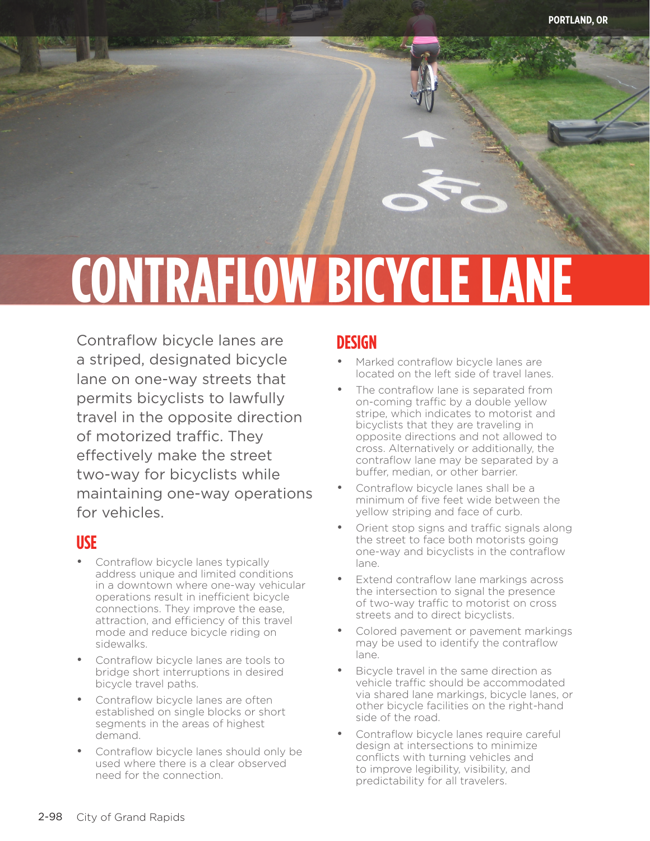# **CONTRAFLOW BICYCLE LANE**

Contraflow bicycle lanes are a striped, designated bicycle lane on one-way streets that permits bicyclists to lawfully travel in the opposite direction of motorized traffic. They effectively make the street two-way for bicyclists while maintaining one-way operations for vehicles.

### **USE**

contraflow bicycle lane contraflow bicycle lane contraflow bicycle lane

- Contraflow bicycle lanes typically address unique and limited conditions in a downtown where one-way vehicular operations result in inefficient bicycle connections. They improve the ease, attraction, and efficiency of this travel mode and reduce bicycle riding on sidewalks.
- Contraflow bicycle lanes are tools to bridge short interruptions in desired bicycle travel paths.
- Contraflow bicycle lanes are often established on single blocks or short segments in the areas of highest demand.
- Contraflow bicycle lanes should only be used where there is a clear observed need for the connection.

# **DESIGN**

- Marked contraflow bicycle lanes are located on the left side of travel lanes.
- The contraflow lane is separated from on-coming traffic by a double yellow stripe, which indicates to motorist and bicyclists that they are traveling in opposite directions and not allowed to cross. Alternatively or additionally, the contraflow lane may be separated by a buffer, median, or other barrier.
- Contraflow bicycle lanes shall be a minimum of five feet wide between the yellow striping and face of curb.
- Orient stop signs and traffic signals along the street to face both motorists going one-way and bicyclists in the contraflow lane.
- Extend contraflow lane markings across the intersection to signal the presence of two-way traffic to motorist on cross streets and to direct bicyclists.
- Colored pavement or pavement markings may be used to identify the contraflow lane.
- Bicycle travel in the same direction as vehicle traffic should be accommodated via shared lane markings, bicycle lanes, or other bicycle facilities on the right-hand side of the road.
- Contraflow bicycle lanes require careful design at intersections to minimize conflicts with turning vehicles and to improve legibility, visibility, and predictability for all travelers.